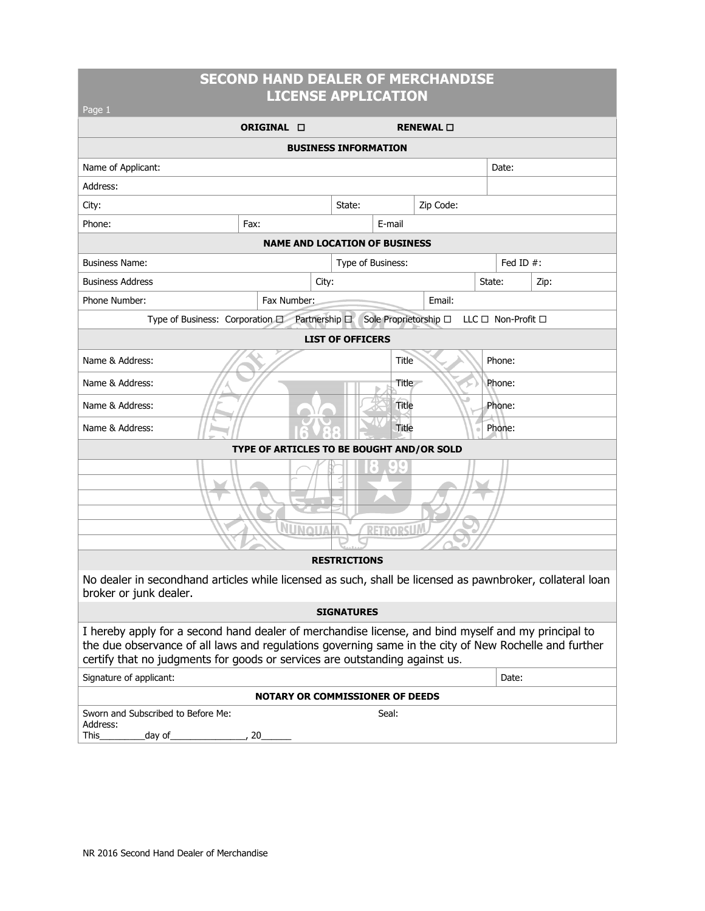### **SECOND HAND DEALER OF MERCHANDISE LICENSE APPLICATION**

| Page 1                                                                                                                                                                                                                                                                                      |                                           |  |                     |        |                   |             |              |      |  |  |
|---------------------------------------------------------------------------------------------------------------------------------------------------------------------------------------------------------------------------------------------------------------------------------------------|-------------------------------------------|--|---------------------|--------|-------------------|-------------|--------------|------|--|--|
|                                                                                                                                                                                                                                                                                             | ORIGINAL <b>O</b>                         |  |                     |        | RENEWAL $\square$ |             |              |      |  |  |
| <b>BUSINESS INFORMATION</b>                                                                                                                                                                                                                                                                 |                                           |  |                     |        |                   |             |              |      |  |  |
| Name of Applicant:                                                                                                                                                                                                                                                                          |                                           |  |                     |        |                   | Date:       |              |      |  |  |
| Address:                                                                                                                                                                                                                                                                                    |                                           |  |                     |        |                   |             |              |      |  |  |
| City:                                                                                                                                                                                                                                                                                       |                                           |  | State:              |        | Zip Code:         |             |              |      |  |  |
| Phone:                                                                                                                                                                                                                                                                                      | Fax:                                      |  |                     | E-mail |                   |             |              |      |  |  |
| <b>NAME AND LOCATION OF BUSINESS</b>                                                                                                                                                                                                                                                        |                                           |  |                     |        |                   |             |              |      |  |  |
| <b>Business Name:</b>                                                                                                                                                                                                                                                                       |                                           |  | Type of Business:   |        |                   |             | Fed ID $#$ : |      |  |  |
| <b>Business Address</b><br>City:                                                                                                                                                                                                                                                            |                                           |  |                     |        |                   | State:      |              | Zip: |  |  |
| Phone Number:<br>Fax Number:                                                                                                                                                                                                                                                                |                                           |  |                     | Email: |                   |             |              |      |  |  |
| Type of Business: Corporation D Partnership D<br>Sole Proprietorship □<br>$LLC \Box$ Non-Profit $\Box$                                                                                                                                                                                      |                                           |  |                     |        |                   |             |              |      |  |  |
| <b>LIST OF OFFICERS</b>                                                                                                                                                                                                                                                                     |                                           |  |                     |        |                   |             |              |      |  |  |
| Name & Address:                                                                                                                                                                                                                                                                             |                                           |  |                     | Title  |                   |             | Phone:       |      |  |  |
| Name & Address:                                                                                                                                                                                                                                                                             |                                           |  |                     | Title  | Phone:            |             |              |      |  |  |
| Name & Address:                                                                                                                                                                                                                                                                             |                                           |  |                     | Title  |                   | Phone:      |              |      |  |  |
| Name & Address:                                                                                                                                                                                                                                                                             |                                           |  |                     | Title  |                   | Phone:<br>ö |              |      |  |  |
|                                                                                                                                                                                                                                                                                             | TYPE OF ARTICLES TO BE BOUGHT AND/OR SOLD |  |                     |        |                   |             |              |      |  |  |
|                                                                                                                                                                                                                                                                                             |                                           |  |                     |        |                   |             |              |      |  |  |
|                                                                                                                                                                                                                                                                                             |                                           |  |                     |        |                   |             |              |      |  |  |
|                                                                                                                                                                                                                                                                                             |                                           |  |                     |        |                   |             |              |      |  |  |
| NUNQUA<br>RETRORSUM                                                                                                                                                                                                                                                                         |                                           |  |                     |        |                   |             |              |      |  |  |
|                                                                                                                                                                                                                                                                                             |                                           |  |                     |        |                   |             |              |      |  |  |
|                                                                                                                                                                                                                                                                                             |                                           |  | <b>RESTRICTIONS</b> |        |                   |             |              |      |  |  |
| No dealer in secondhand articles while licensed as such, shall be licensed as pawnbroker, collateral loan<br>broker or junk dealer.                                                                                                                                                         |                                           |  |                     |        |                   |             |              |      |  |  |
| <b>SIGNATURES</b>                                                                                                                                                                                                                                                                           |                                           |  |                     |        |                   |             |              |      |  |  |
| I hereby apply for a second hand dealer of merchandise license, and bind myself and my principal to<br>the due observance of all laws and regulations governing same in the city of New Rochelle and further<br>certify that no judgments for goods or services are outstanding against us. |                                           |  |                     |        |                   |             |              |      |  |  |
| Signature of applicant:                                                                                                                                                                                                                                                                     |                                           |  |                     |        |                   |             | Date:        |      |  |  |
| <b>NOTARY OR COMMISSIONER OF DEEDS</b>                                                                                                                                                                                                                                                      |                                           |  |                     |        |                   |             |              |      |  |  |
| Sworn and Subscribed to Before Me:<br>Address:<br>This_<br>day of_                                                                                                                                                                                                                          | 20                                        |  |                     | Seal:  |                   |             |              |      |  |  |
|                                                                                                                                                                                                                                                                                             |                                           |  |                     |        |                   |             |              |      |  |  |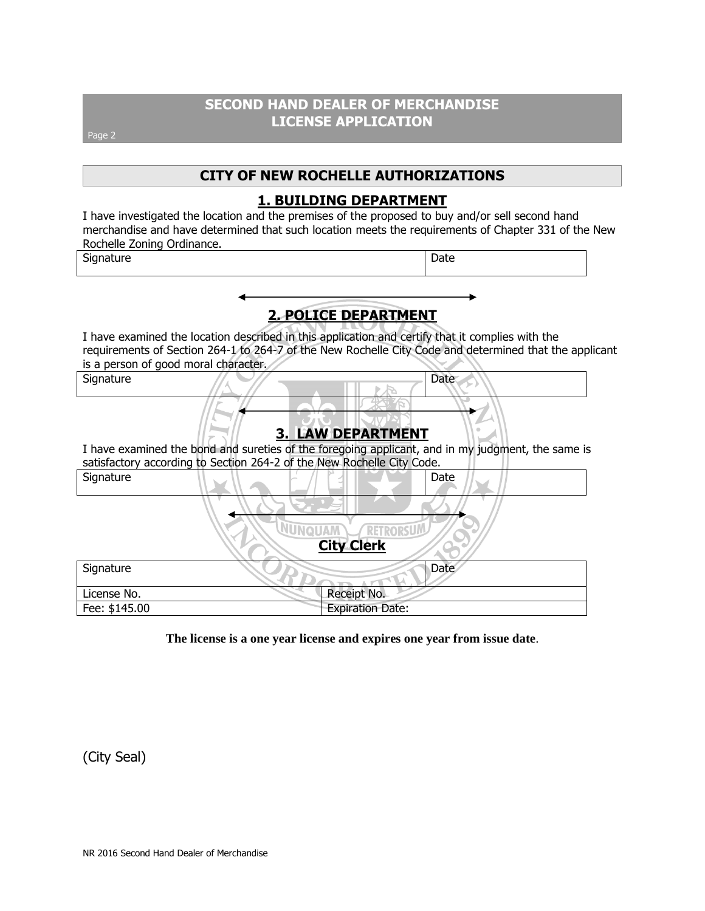## **SECOND HAND DEALER OF MERCHANDISE LICENSE APPLICATION**

Page 2

## **CITY OF NEW ROCHELLE AUTHORIZATIONS**

### **1. BUILDING DEPARTMENT**

I have investigated the location and the premises of the proposed to buy and/or sell second hand merchandise and have determined that such location meets the requirements of Chapter 331 of the New Rochelle Zoning Ordinance.

Signature Date

# **2. POLICE DEPARTMENT**

I have examined the location described in this application and certify that it complies with the requirements of Section 264-1 to 264-7 of the New Rochelle City Code and determined that the applicant is a person of good moral character.

Signature // // <u>// // // // // //</u> Date

## **3. LAW DEPARTMENT**

I have examined the bond and sureties of the foregoing applicant, and in my judgment, the same is satisfactory according to Section 264-2 of the New Rochelle City Code.

| Signature     | Date                                                     |
|---------------|----------------------------------------------------------|
|               |                                                          |
|               | <b>MALIONUV</b><br><b>RETRORSUA</b><br><b>City Clerk</b> |
| Signature     | Date                                                     |
| License No.   | Receipt No.                                              |
| Fee: \$145.00 | <b>Expiration Date:</b>                                  |

**The license is a one year license and expires one year from issue date**.

(City Seal)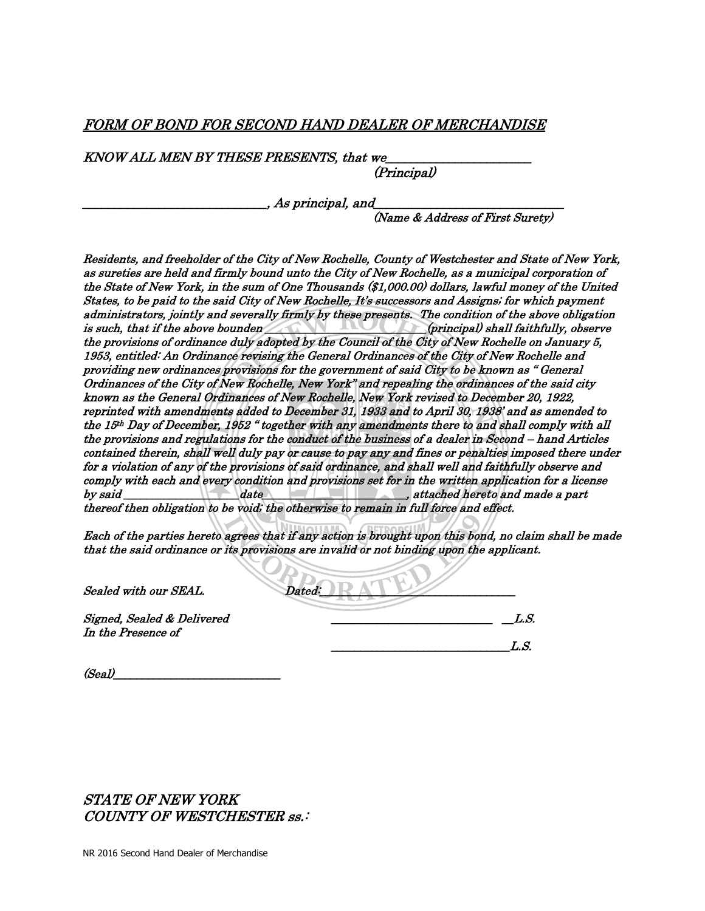### FORM OF BOND FOR SECOND HAND DEALER OF MERCHANDISE

KNOW ALL MEN BY THESE PRESENTS, that we

(Principal)

 $\_$ , As principal, and  $\_$ 

(Name & Address of First Surety)

Residents, and freeholder of the City of New Rochelle, County of Westchester and State of New York, as sureties are held and firmly bound unto the City of New Rochelle, as a municipal corporation of the State of New York, in the sum of One Thousands (\$1,000.00) dollars, lawful money of the United States, to be paid to the said City of New Rochelle, It's successors and Assigns; for which payment administrators, jointly and severally firmly by these presents. The condition of the above obligation is such, that if the above bounden **the such as a such that if the above bounden** *is such, that if the above bounden* the provisions of ordinance duly adopted by the Council of the City of New Rochelle on January 5, 1953, entitled: An Ordinance revising the General Ordinances of the City of New Rochelle and providing new ordinances provisions for the government of said City to be known as " General Ordinances of the City of New Rochelle, New York" and repealing the ordinances of the said city known as the General Ordinances of New Rochelle, New York revised to December 20, 1922, reprinted with amendments added to December 31, 1933 and to April 30, 1938' and as amended to the 15th Day of December, 1952 " together with any amendments there to and shall comply with all the provisions and regulations for the conduct of the business of a dealer in Second – hand Articles contained therein, shall well duly pay or cause to pay any and fines or penalties imposed there under for a violation of any of the provisions of said ordinance, and shall well and faithfully observe and comply with each and every condition and provisions set for in the written application for a license by said \_\_\_\_\_\_\_\_\_\_\_\_\_\_\_\_\_\_\_\_date\_\_\_\_\_\_\_\_\_\_\_\_\_\_\_\_\_\_\_\_\_\_\_\_\_, attached hereto and made a part thereof then obligation to be void; the otherwise to remain in full force and effect.

Each of the parties hereto agrees that if any action is brought upon this bond, no claim shall be made that the said ordinance or its provisions are invalid or not binding upon the applicant.

| Sealed with our SEAL.                            | Dated: |              |
|--------------------------------------------------|--------|--------------|
| Signed, Sealed & Delivered<br>In the Presence of |        | L S.<br>L.S. |
|                                                  |        |              |

 $(Se_{a}l)$ 

STATE OF NEW YORK COUNTY OF WESTCHESTER ss.: